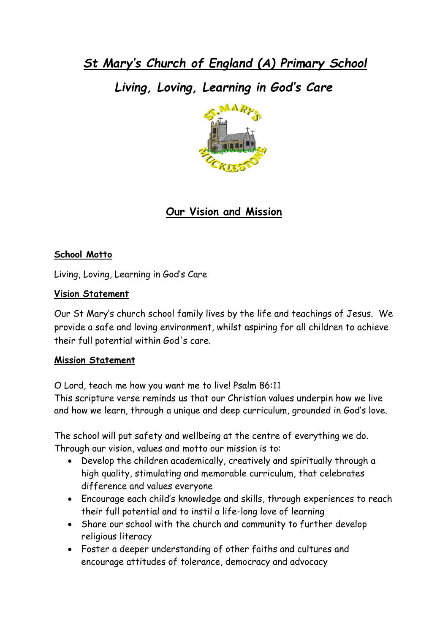*St Mary's Church of England (A) Primary School*

*Living, Loving, Learning in God's Care*



# **Our Vision and Mission**

#### **School Motto**

Living, Loving, Learning in God's Care

#### **Vision Statement**

Our St Mary's church school family lives by the life and teachings of Jesus. We provide a safe and loving environment, whilst aspiring for all children to achieve their full potential within God's care.

#### **Mission Statement**

O Lord, teach me how you want me to live! Psalm 86:11

This scripture verse reminds us that our Christian values underpin how we live and how we learn, through a unique and deep curriculum, grounded in God's love.

The school will put safety and wellbeing at the centre of everything we do. Through our vision, values and motto our mission is to:

- Develop the children academically, creatively and spiritually through a high quality, stimulating and memorable curriculum, that celebrates difference and values everyone
- Encourage each child's knowledge and skills, through experiences to reach their full potential and to instil a life-long love of learning
- Share our school with the church and community to further develop religious literacy
- Foster a deeper understanding of other faiths and cultures and encourage attitudes of tolerance, democracy and advocacy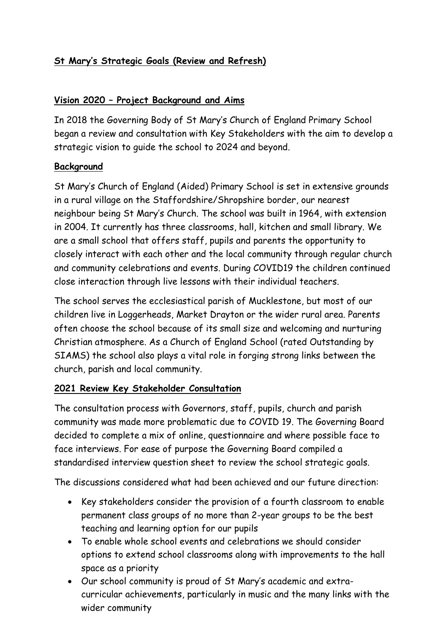## **St Mary's Strategic Goals (Review and Refresh)**

### **Vision 2020 – Project Background and Aims**

In 2018 the Governing Body of St Mary's Church of England Primary School began a review and consultation with Key Stakeholders with the aim to develop a strategic vision to guide the school to 2024 and beyond.

#### **Background**

St Mary's Church of England (Aided) Primary School is set in extensive grounds in a rural village on the Staffordshire/Shropshire border, our nearest neighbour being St Mary's Church. The school was built in 1964, with extension in 2004. It currently has three classrooms, hall, kitchen and small library. We are a small school that offers staff, pupils and parents the opportunity to closely interact with each other and the local community through regular church and community celebrations and events. During COVID19 the children continued close interaction through live lessons with their individual teachers.

The school serves the ecclesiastical parish of Mucklestone, but most of our children live in Loggerheads, Market Drayton or the wider rural area. Parents often choose the school because of its small size and welcoming and nurturing Christian atmosphere. As a Church of England School (rated Outstanding by SIAMS) the school also plays a vital role in forging strong links between the church, parish and local community.

### **2021 Review Key Stakeholder Consultation**

The consultation process with Governors, staff, pupils, church and parish community was made more problematic due to COVID 19. The Governing Board decided to complete a mix of online, questionnaire and where possible face to face interviews. For ease of purpose the Governing Board compiled a standardised interview question sheet to review the school strategic goals.

The discussions considered what had been achieved and our future direction:

- Key stakeholders consider the provision of a fourth classroom to enable permanent class groups of no more than 2-year groups to be the best teaching and learning option for our pupils
- To enable whole school events and celebrations we should consider options to extend school classrooms along with improvements to the hall space as a priority
- Our school community is proud of St Mary's academic and extracurricular achievements, particularly in music and the many links with the wider community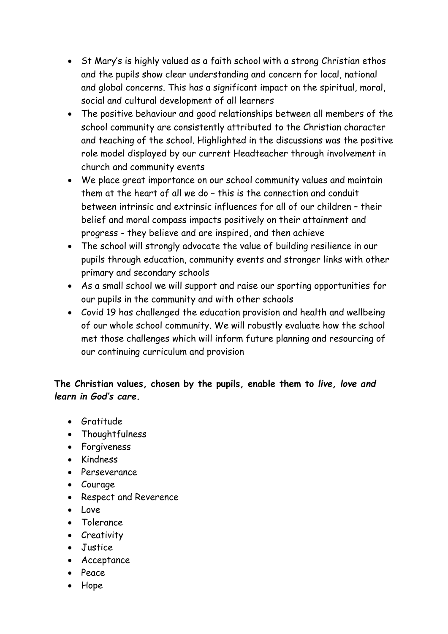- St Mary's is highly valued as a faith school with a strong Christian ethos and the pupils show clear understanding and concern for local, national and global concerns. This has a significant impact on the spiritual, moral, social and cultural development of all learners
- The positive behaviour and good relationships between all members of the school community are consistently attributed to the Christian character and teaching of the school. Highlighted in the discussions was the positive role model displayed by our current Headteacher through involvement in church and community events
- We place great importance on our school community values and maintain them at the heart of all we do – this is the connection and conduit between intrinsic and extrinsic influences for all of our children – their belief and moral compass impacts positively on their attainment and progress - they believe and are inspired, and then achieve
- The school will strongly advocate the value of building resilience in our pupils through education, community events and stronger links with other primary and secondary schools
- As a small school we will support and raise our sporting opportunities for our pupils in the community and with other schools
- Covid 19 has challenged the education provision and health and wellbeing of our whole school community. We will robustly evaluate how the school met those challenges which will inform future planning and resourcing of our continuing curriculum and provision

## **The Christian values, chosen by the pupils, enable them to** *live, love and learn in God's care.*

- **Gratitude**
- Thoughtfulness
- Forgiveness
- Kindness
- Perseverance
- Courage
- Respect and Reverence
- $\bullet$  Love
- Tolerance
- Creativity
- Justice
- Acceptance
- Peace
- Hope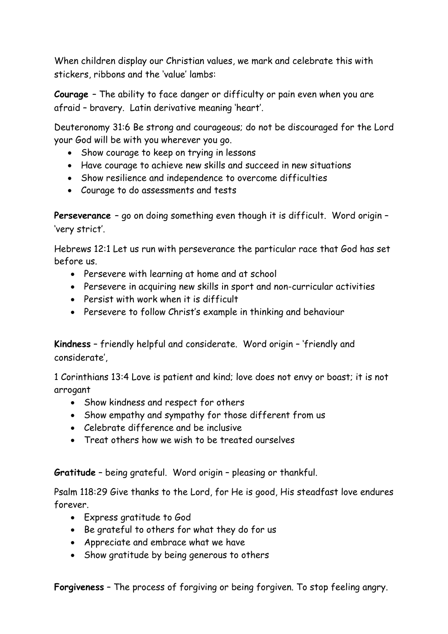When children display our Christian values, we mark and celebrate this with stickers, ribbons and the 'value' lambs:

**Courage** – The ability to face danger or difficulty or pain even when you are afraid – bravery. Latin derivative meaning 'heart'.

Deuteronomy 31:6 Be strong and courageous; do not be discouraged for the Lord your God will be with you wherever you go.

- Show courage to keep on trying in lessons
- Have courage to achieve new skills and succeed in new situations
- Show resilience and independence to overcome difficulties
- Courage to do assessments and tests

**Perseverance** – go on doing something even though it is difficult. Word origin – 'very strict'.

Hebrews 12:1 Let us run with perseverance the particular race that God has set before us.

- Persevere with learning at home and at school
- Persevere in acquiring new skills in sport and non-curricular activities
- Persist with work when it is difficult
- Persevere to follow Christ's example in thinking and behaviour

**Kindness** – friendly helpful and considerate. Word origin – 'friendly and considerate',

[1 Corinthians 13:4](https://www.biblegateway.com/passage/?search=1+Corinthians+13%3A4&version=ESV) Love is patient and kind; love does not envy or boast; it is not arrogant

- Show kindness and respect for others
- Show empathy and sympathy for those different from us
- Celebrate difference and be inclusive
- Treat others how we wish to be treated ourselves

**Gratitude** – being grateful. Word origin – pleasing or thankful.

Psalm 118:29 Give thanks to the Lord, for He is good, His steadfast love endures forever.

- Express gratitude to God
- Be grateful to others for what they do for us
- Appreciate and embrace what we have
- Show gratitude by being generous to others

**Forgiveness** – The process of forgiving or being forgiven. To stop feeling angry.